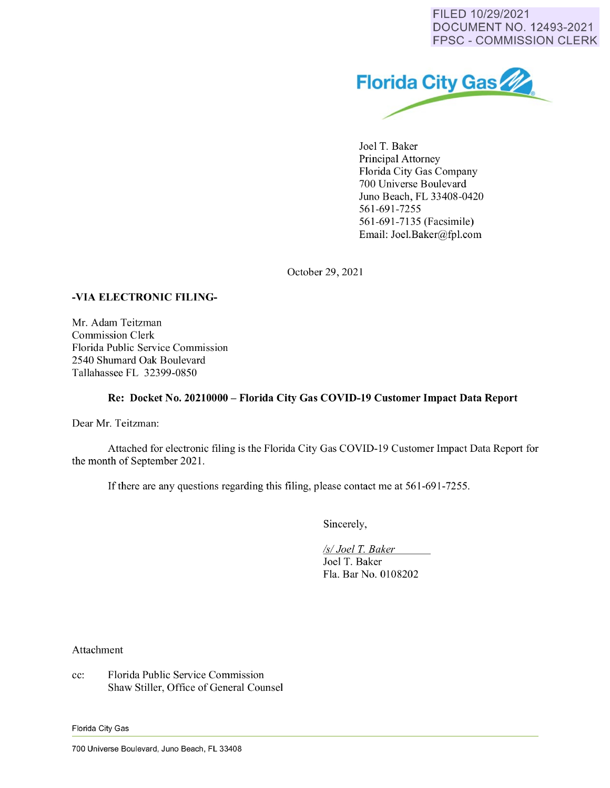FILED 10/29/2021 DOCUMENT NO. 12493-2021 FPSC - COMMISSION CLERK



Joel T. Baker Principal Attorney Florida City Gas Company 700 Universe Boulevard Juno Beach, FL 33408-0420 561-691-7255 561-691-7135 (Facsimile) Email: Joel.Baker@fpl.com

October 29, 2021

## **-VIA ELECTRONIC FILING-**

Mr. Adam Teitzman Commission Clerk Florida Public Service Commission 2540 Shumard Oak Boulevard Tallahassee FL 32399-0850

## **Re: Docket No. 20210000- Florida City Gas COVID-19 Customer Impact Data Report**

Dear Mr. Teitzman:

Attached for electronic filing is the Florida City Gas COVID-19 Customer Impact Data Report for the month of September 2021.

If there are any questions regarding this filing, please contact me at 561-691-7255.

Sincerely,

*Isl Joel* T. *Baker* 

Joel T. Baker Fla. Bar No. 0108202

Attachment

cc: Florida Public Service Commission Shaw Stiller, Office of General Counsel

Florida City Gas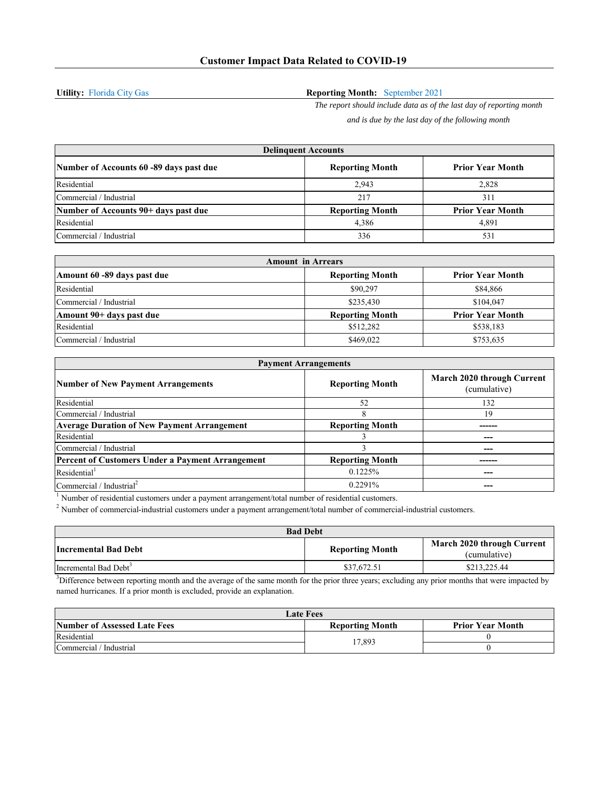**Utility:** Florida City Gas

## **Reporting Month:** September 2021

*The report should include data as of the last day of reporting month and is due by the last day of the following month*

| <b>Delinguent Accounts</b>              |                        |                         |
|-----------------------------------------|------------------------|-------------------------|
| Number of Accounts 60 -89 days past due | <b>Reporting Month</b> | <b>Prior Year Month</b> |
| Residential                             | 2.943                  | 2,828                   |
| Commercial / Industrial                 | 217                    | 311                     |
| Number of Accounts 90+ days past due    | <b>Reporting Month</b> | <b>Prior Year Month</b> |
| Residential                             | 4,386                  | 4.891                   |
| Commercial / Industrial                 | 336                    | 531                     |

| <b>Amount in Arrears</b>    |                        |                         |
|-----------------------------|------------------------|-------------------------|
| Amount 60 -89 days past due | <b>Reporting Month</b> | <b>Prior Year Month</b> |
| Residential                 | \$90,297               | \$84,866                |
| Commercial / Industrial     | \$235,430              | \$104,047               |
| Amount 90+ days past due    | <b>Reporting Month</b> | <b>Prior Year Month</b> |
| Residential                 | \$512,282              | \$538,183               |
| Commercial / Industrial     | \$469,022              | \$753,635               |

| <b>Payment Arrangements</b>                             |                        |                                            |
|---------------------------------------------------------|------------------------|--------------------------------------------|
| <b>Number of New Payment Arrangements</b>               | <b>Reporting Month</b> | March 2020 through Current<br>(cumulative) |
| Residential                                             | 52                     | 132                                        |
| Commercial / Industrial                                 | 8                      | 19                                         |
| <b>Average Duration of New Payment Arrangement</b>      | <b>Reporting Month</b> |                                            |
| Residential                                             |                        |                                            |
| Commercial / Industrial                                 |                        |                                            |
| <b>Percent of Customers Under a Payment Arrangement</b> | <b>Reporting Month</b> |                                            |
| Residential <sup>1</sup>                                | 0.1225%                | ---                                        |
| Commercial / Industrial <sup>2</sup>                    | 0.2291%                |                                            |

 $<sup>1</sup>$  Number of residential customers under a payment arrangement/total number of residential customers.</sup>

<sup>2</sup> Number of commercial-industrial customers under a payment arrangement/total number of commercial-industrial customers.

| <b>Bad Debt</b>                   |                        |                                            |
|-----------------------------------|------------------------|--------------------------------------------|
| Incremental Bad Debt              | <b>Reporting Month</b> | March 2020 through Current<br>(cumulative) |
| Incremental Bad Debt <sup>3</sup> | \$37,672.51            | \$213,225.44                               |

 $<sup>3</sup>$ Difference between reporting month and the average of the same month for the prior three years; excluding any prior months that were impacted by</sup> named hurricanes. If a prior month is excluded, provide an explanation.

| <b>Late Fees</b>             |                        |                         |
|------------------------------|------------------------|-------------------------|
| Number of Assessed Late Fees | <b>Reporting Month</b> | <b>Prior Year Month</b> |
| Residential                  | 17,893                 |                         |
| Commercial / Industrial      |                        |                         |